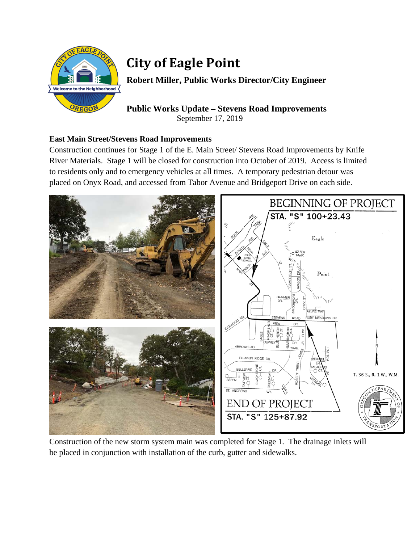

# **City of Eagle Point**

**Robert Miller, Public Works Director/City Engineer** 

## **Public Works Update – Stevens Road Improvements**  September 17, 2019

## **East Main Street/Stevens Road Improvements**

Construction continues for Stage 1 of the E. Main Street/ Stevens Road Improvements by Knife River Materials. Stage 1 will be closed for construction into October of 2019. Access is limited to residents only and to emergency vehicles at all times. A temporary pedestrian detour was placed on Onyx Road, and accessed from Tabor Avenue and Bridgeport Drive on each side.



Construction of the new storm system main was completed for Stage 1. The drainage inlets will be placed in conjunction with installation of the curb, gutter and sidewalks.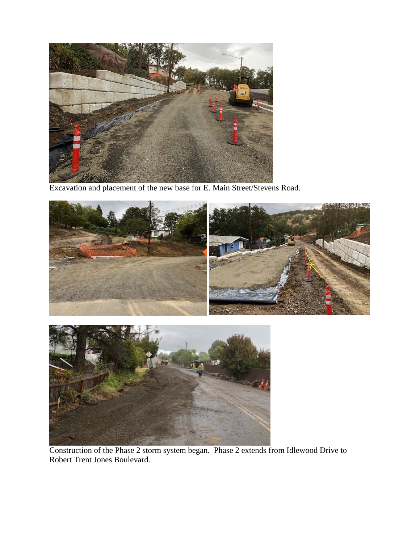

Excavation and placement of the new base for E. Main Street/Stevens Road.





Construction of the Phase 2 storm system began. Phase 2 extends from Idlewood Drive to Robert Trent Jones Boulevard.